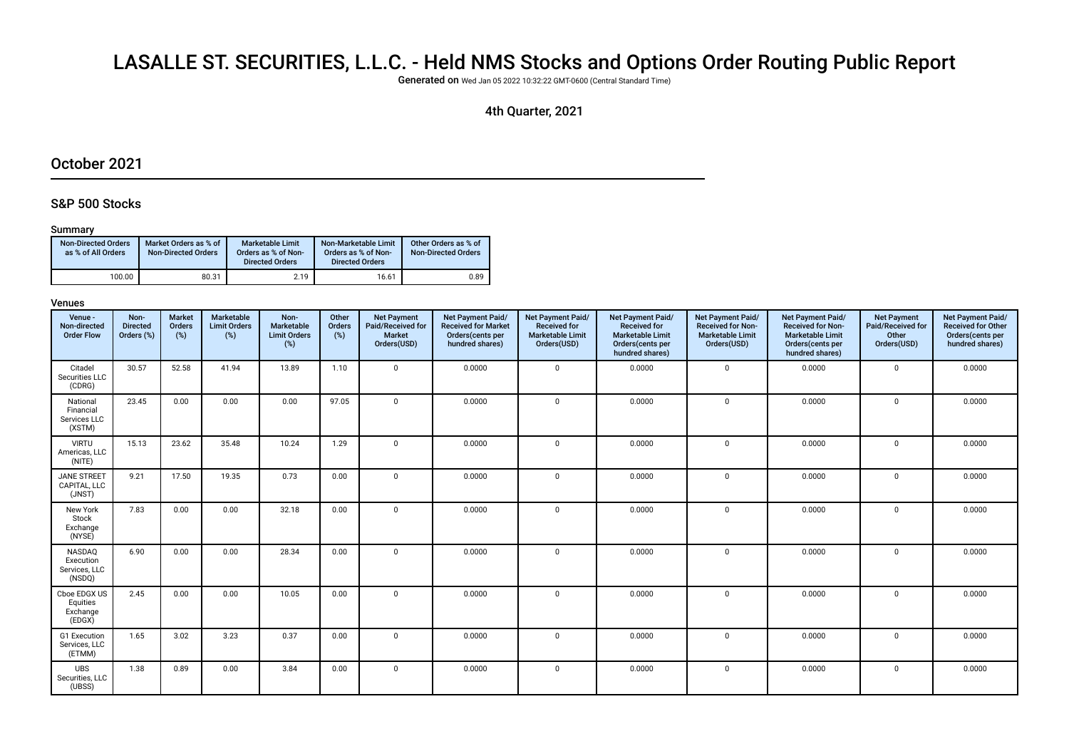# LASALLE ST. SECURITIES, L.L.C. - Held NMS Stocks and Options Order Routing Public Report

Generated on Wed Jan 05 2022 10:32:22 GMT-0600 (Central Standard Time)

### 4th Quarter, 2021

### October 2021

### S&P 500 Stocks

#### Summary

| <b>Non-Directed Orders</b><br>as % of All Orders | Market Orders as % of<br><b>Non-Directed Orders</b> | Marketable Limit<br>Orders as % of Non-<br><b>Directed Orders</b> | Non-Marketable Limit<br>Orders as % of Non-<br><b>Directed Orders</b> | Other Orders as % of<br><b>Non-Directed Orders</b> |
|--------------------------------------------------|-----------------------------------------------------|-------------------------------------------------------------------|-----------------------------------------------------------------------|----------------------------------------------------|
| 100.00                                           | 80.31                                               | 2.19                                                              | 16.61                                                                 | 0.89                                               |

| Venue -<br>Non-directed<br><b>Order Flow</b>    | Non-<br><b>Directed</b><br>Orders (%) | <b>Market</b><br>Orders<br>(%) | Marketable<br><b>Limit Orders</b><br>$(\%)$ | Non-<br>Marketable<br><b>Limit Orders</b><br>(%) | Other<br>Orders<br>$(\%)$ | <b>Net Payment</b><br>Paid/Received for<br>Market<br>Orders(USD) | Net Payment Paid/<br><b>Received for Market</b><br>Orders(cents per<br>hundred shares) | Net Payment Paid/<br><b>Received for</b><br><b>Marketable Limit</b><br>Orders(USD) | Net Payment Paid/<br><b>Received for</b><br><b>Marketable Limit</b><br>Orders(cents per<br>hundred shares) | <b>Net Payment Paid/</b><br><b>Received for Non-</b><br><b>Marketable Limit</b><br>Orders(USD) | Net Payment Paid/<br><b>Received for Non-</b><br><b>Marketable Limit</b><br>Orders(cents per<br>hundred shares) | <b>Net Payment</b><br>Paid/Received for<br>Other<br>Orders(USD) | Net Payment Paid/<br><b>Received for Other</b><br>Orders(cents per<br>hundred shares) |
|-------------------------------------------------|---------------------------------------|--------------------------------|---------------------------------------------|--------------------------------------------------|---------------------------|------------------------------------------------------------------|----------------------------------------------------------------------------------------|------------------------------------------------------------------------------------|------------------------------------------------------------------------------------------------------------|------------------------------------------------------------------------------------------------|-----------------------------------------------------------------------------------------------------------------|-----------------------------------------------------------------|---------------------------------------------------------------------------------------|
| Citadel<br>Securities LLC<br>(CDRG)             | 30.57                                 | 52.58                          | 41.94                                       | 13.89                                            | 1.10                      | $\mathbf 0$                                                      | 0.0000                                                                                 | $\Omega$                                                                           | 0.0000                                                                                                     | $\mathbf 0$                                                                                    | 0.0000                                                                                                          | $\mathbf 0$                                                     | 0.0000                                                                                |
| National<br>Financial<br>Services LLC<br>(XSTM) | 23.45                                 | 0.00                           | 0.00                                        | 0.00                                             | 97.05                     | $\mathbf 0$                                                      | 0.0000                                                                                 | $\mathbf 0$                                                                        | 0.0000                                                                                                     | $\mathbf 0$                                                                                    | 0.0000                                                                                                          | $\mathbf{0}$                                                    | 0.0000                                                                                |
| <b>VIRTU</b><br>Americas, LLC<br>(NITE)         | 15.13                                 | 23.62                          | 35.48                                       | 10.24                                            | 1.29                      | $\mathbf 0$                                                      | 0.0000                                                                                 | $\mathbf 0$                                                                        | 0.0000                                                                                                     | $\mathbf 0$                                                                                    | 0.0000                                                                                                          | $\mathbf{0}$                                                    | 0.0000                                                                                |
| <b>JANE STREET</b><br>CAPITAL, LLC<br>(JNST)    | 9.21                                  | 17.50                          | 19.35                                       | 0.73                                             | 0.00                      | $\mathbf 0$                                                      | 0.0000                                                                                 | $\Omega$                                                                           | 0.0000                                                                                                     | $\mathbf 0$                                                                                    | 0.0000                                                                                                          | $\mathbf 0$                                                     | 0.0000                                                                                |
| New York<br>Stock<br>Exchange<br>(NYSE)         | 7.83                                  | 0.00                           | 0.00                                        | 32.18                                            | 0.00                      | $\mathbf 0$                                                      | 0.0000                                                                                 | $\Omega$                                                                           | 0.0000                                                                                                     | $\mathbf 0$                                                                                    | 0.0000                                                                                                          | $\mathbf 0$                                                     | 0.0000                                                                                |
| NASDAQ<br>Execution<br>Services, LLC<br>(NSDQ)  | 6.90                                  | 0.00                           | 0.00                                        | 28.34                                            | 0.00                      | $\mathbf 0$                                                      | 0.0000                                                                                 | $\Omega$                                                                           | 0.0000                                                                                                     | $\mathbf 0$                                                                                    | 0.0000                                                                                                          | $\mathbf 0$                                                     | 0.0000                                                                                |
| Cboe EDGX US<br>Equities<br>Exchange<br>(EDGX)  | 2.45                                  | 0.00                           | 0.00                                        | 10.05                                            | 0.00                      | $\mathbf 0$                                                      | 0.0000                                                                                 | $\Omega$                                                                           | 0.0000                                                                                                     | $\mathbf 0$                                                                                    | 0.0000                                                                                                          | $\mathbf{0}$                                                    | 0.0000                                                                                |
| G1 Execution<br>Services, LLC<br>(ETMM)         | 1.65                                  | 3.02                           | 3.23                                        | 0.37                                             | 0.00                      | $\mathbf 0$                                                      | 0.0000                                                                                 | $\mathbf 0$                                                                        | 0.0000                                                                                                     | $\mathbf 0$                                                                                    | 0.0000                                                                                                          | $\mathbf 0$                                                     | 0.0000                                                                                |
| <b>UBS</b><br>Securities, LLC<br>(UBSS)         | 1.38                                  | 0.89                           | 0.00                                        | 3.84                                             | 0.00                      | $\mathbf 0$                                                      | 0.0000                                                                                 | $\mathbf 0$                                                                        | 0.0000                                                                                                     | $\mathbf 0$                                                                                    | 0.0000                                                                                                          | 0                                                               | 0.0000                                                                                |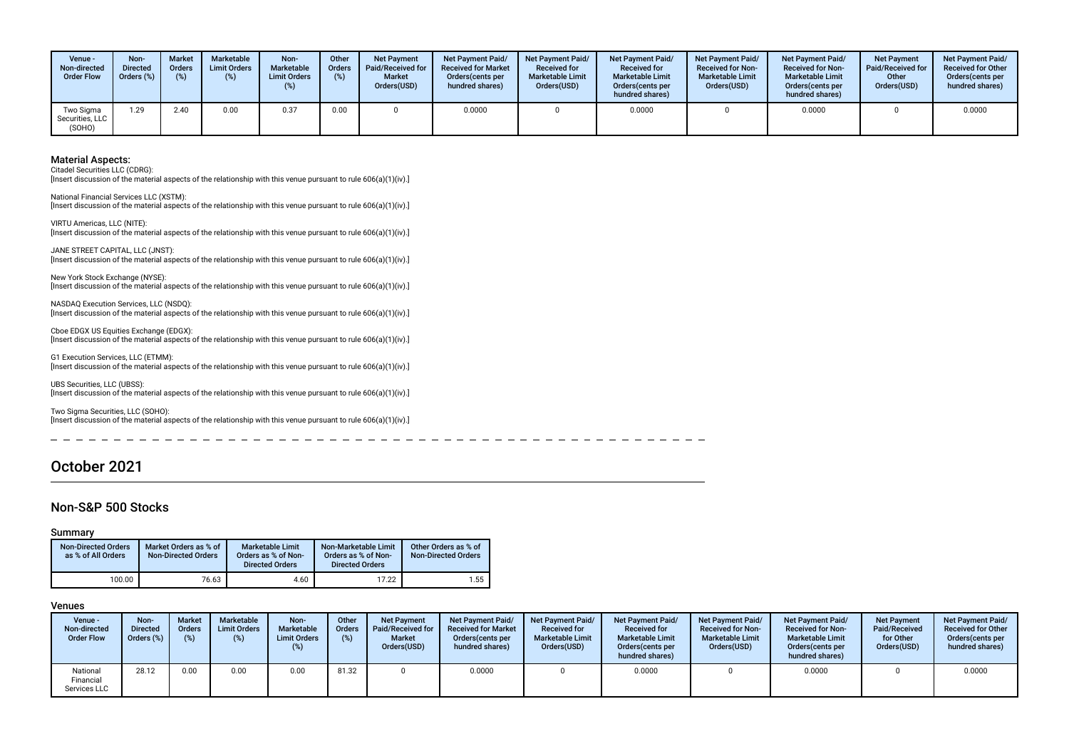| Venue -<br>Non-directed<br><b>Order Flow</b> | Non-<br><b>Directed</b><br>Orders (%) | <b>Market</b><br><b>Orders</b><br>$(\%)$ | Marketable<br><b>Limit Orders</b> | Non-<br>Marketable<br><b>Limit Orders</b><br>(%) | Other<br><b>Orders</b><br>(%) | <b>Net Payment</b><br><b>Paid/Received for</b><br><b>Market</b><br>Orders(USD) | <b>Net Payment Paid/</b><br><b>Received for Market</b><br>Orders (cents per<br>hundred shares) | <b>Net Payment Paid/</b><br><b>Received for</b><br><b>Marketable Limit</b><br>Orders(USD) | <b>Net Payment Paid/</b><br><b>Received for</b><br><b>Marketable Limit</b><br>Orders (cents per<br>hundred shares) | <b>Net Payment Paid/</b><br><b>Received for Non-</b><br><b>Marketable Limit</b><br>Orders(USD) | Net Payment Paid/<br><b>Received for Non-</b><br><b>Marketable Limit</b><br>Orders (cents per<br>hundred shares) | <b>Net Payment</b><br><b>Paid/Received for</b><br>Other<br>Orders(USD) | <b>Net Payment Paid/</b><br><b>Received for Other</b><br>Orders(cents per<br>hundred shares) |
|----------------------------------------------|---------------------------------------|------------------------------------------|-----------------------------------|--------------------------------------------------|-------------------------------|--------------------------------------------------------------------------------|------------------------------------------------------------------------------------------------|-------------------------------------------------------------------------------------------|--------------------------------------------------------------------------------------------------------------------|------------------------------------------------------------------------------------------------|------------------------------------------------------------------------------------------------------------------|------------------------------------------------------------------------|----------------------------------------------------------------------------------------------|
| Two Sigma<br>Securities, LLC<br>(SOHO)       | 1.29                                  | 2.40                                     | 0.00                              | 0.37                                             | 0.00                          |                                                                                | 0.0000                                                                                         |                                                                                           | 0.0000                                                                                                             |                                                                                                | 0.0000                                                                                                           |                                                                        | 0.0000                                                                                       |

Citadel Securities LLC (CDRG):

[Insert discussion of the material aspects of the relationship with this venue pursuant to rule 606(a)(1)(iv).]

National Financial Services LLC (XSTM): [Insert discussion of the material aspects of the relationship with this venue pursuant to rule 606(a)(1)(iv).]

VIRTU Americas, LLC (NITE): [Insert discussion of the material aspects of the relationship with this venue pursuant to rule 606(a)(1)(iv).]

JANE STREET CAPITAL, LLC (JNST): [Insert discussion of the material aspects of the relationship with this venue pursuant to rule 606(a)(1)(iv).]

New York Stock Exchange (NYSE): [Insert discussion of the material aspects of the relationship with this venue pursuant to rule 606(a)(1)(iv).]

NASDAQ Execution Services, LLC (NSDQ): [Insert discussion of the material aspects of the relationship with this venue pursuant to rule 606(a)(1)(iv).]

Cboe EDGX US Equities Exchange (EDGX): [Insert discussion of the material aspects of the relationship with this venue pursuant to rule 606(a)(1)(iv).]

G1 Execution Services, LLC (ETMM): [Insert discussion of the material aspects of the relationship with this venue pursuant to rule 606(a)(1)(iv).]

UBS Securities, LLC (UBSS): [Insert discussion of the material aspects of the relationship with this venue pursuant to rule 606(a)(1)(iv).]

Two Sigma Securities, LLC (SOHO): [Insert discussion of the material aspects of the relationship with this venue pursuant to rule 606(a)(1)(iv).]

### October 2021

#### Non-S&P 500 Stocks

#### Summary

 $\equiv$ 

| <b>Non-Directed Orders</b><br>as % of All Orders | Market Orders as % of<br><b>Non-Directed Orders</b> | <b>Marketable Limit</b><br>Orders as % of Non-<br><b>Directed Orders</b> | Non-Marketable Limit<br>Orders as % of Non-<br><b>Directed Orders</b> | Other Orders as % of<br><b>Non-Directed Orders</b> |
|--------------------------------------------------|-----------------------------------------------------|--------------------------------------------------------------------------|-----------------------------------------------------------------------|----------------------------------------------------|
| 100.00                                           | 76.63                                               | 4.60                                                                     | 17.22                                                                 | 1.55                                               |

 $-$ 

 $-$ 

| Venue -<br>Non-directed<br><b>Order Flow</b> | Non-<br><b>Directed</b><br>Orders (%) | <b>Market</b><br><b>Orders</b><br>(%) | Marketable<br><b>Limit Orders</b><br>$(\%)$ | Non-<br>Marketable<br><b>Limit Orders</b><br>$(\%)$ | Other<br>Orders | <b>Net Payment</b><br>Paid/Received for<br><b>Market</b><br>Orders(USD) | Net Payment Paid/<br><b>Received for Market</b><br>Orders (cents per<br>hundred shares) | <b>Net Payment Paid/</b><br><b>Received for</b><br><b>Marketable Limit</b><br>Orders(USD) | <b>Net Payment Paid/</b><br><b>Received for</b><br><b>Marketable Limit</b><br>Orders (cents per<br>hundred shares) | <b>Net Payment Paid/</b><br><b>Received for Non-</b><br><b>Marketable Limit</b><br>Orders(USD) | Net Payment Paid/<br><b>Received for Non-</b><br><b>Marketable Limit</b><br>Orders(cents per<br>hundred shares) | <b>Net Payment</b><br>Paid/Received<br>for Other<br>Orders(USD) | <b>Net Payment Paid/</b><br><b>Received for Other</b><br>Orders(cents per<br>hundred shares) |
|----------------------------------------------|---------------------------------------|---------------------------------------|---------------------------------------------|-----------------------------------------------------|-----------------|-------------------------------------------------------------------------|-----------------------------------------------------------------------------------------|-------------------------------------------------------------------------------------------|--------------------------------------------------------------------------------------------------------------------|------------------------------------------------------------------------------------------------|-----------------------------------------------------------------------------------------------------------------|-----------------------------------------------------------------|----------------------------------------------------------------------------------------------|
| National<br>Financial<br>Services LLC        | 28.12                                 | 0.00                                  | 0.00                                        | 0.00                                                | 81.32           |                                                                         | 0.0000                                                                                  |                                                                                           | 0.0000                                                                                                             |                                                                                                | 0.0000                                                                                                          |                                                                 | 0.0000                                                                                       |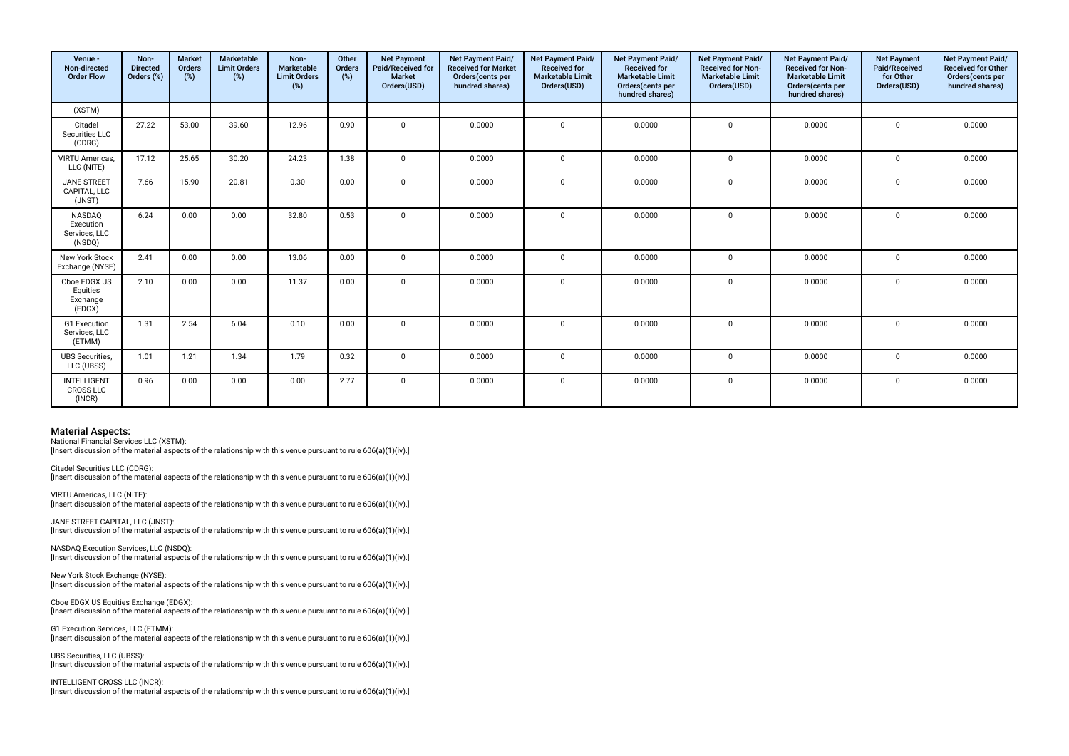| Venue -<br>Non-directed<br><b>Order Flow</b>          | Non-<br><b>Directed</b><br>Orders (%) | <b>Market</b><br>Orders<br>(%) | Marketable<br><b>Limit Orders</b><br>(%) | Non-<br>Marketable<br><b>Limit Orders</b><br>(%) | Other<br>Orders<br>(%) | <b>Net Payment</b><br>Paid/Received for<br><b>Market</b><br>Orders(USD) | Net Payment Paid/<br><b>Received for Market</b><br>Orders(cents per<br>hundred shares) | <b>Net Payment Paid/</b><br><b>Received for</b><br><b>Marketable Limit</b><br>Orders(USD) | Net Payment Paid/<br><b>Received for</b><br><b>Marketable Limit</b><br>Orders(cents per<br>hundred shares) | Net Payment Paid/<br><b>Received for Non-</b><br><b>Marketable Limit</b><br>Orders(USD) | Net Payment Paid/<br><b>Received for Non-</b><br><b>Marketable Limit</b><br>Orders(cents per<br>hundred shares) | <b>Net Payment</b><br>Paid/Received<br>for Other<br>Orders(USD) | Net Payment Paid/<br><b>Received for Other</b><br>Orders(cents per<br>hundred shares) |
|-------------------------------------------------------|---------------------------------------|--------------------------------|------------------------------------------|--------------------------------------------------|------------------------|-------------------------------------------------------------------------|----------------------------------------------------------------------------------------|-------------------------------------------------------------------------------------------|------------------------------------------------------------------------------------------------------------|-----------------------------------------------------------------------------------------|-----------------------------------------------------------------------------------------------------------------|-----------------------------------------------------------------|---------------------------------------------------------------------------------------|
| (XSTM)                                                |                                       |                                |                                          |                                                  |                        |                                                                         |                                                                                        |                                                                                           |                                                                                                            |                                                                                         |                                                                                                                 |                                                                 |                                                                                       |
| Citadel<br>Securities LLC<br>(CDRG)                   | 27.22                                 | 53.00                          | 39.60                                    | 12.96                                            | 0.90                   | $\Omega$                                                                | 0.0000                                                                                 | $\mathbf{0}$                                                                              | 0.0000                                                                                                     | $\mathbf 0$                                                                             | 0.0000                                                                                                          | 0                                                               | 0.0000                                                                                |
| <b>VIRTU Americas.</b><br>LLC (NITE)                  | 17.12                                 | 25.65                          | 30.20                                    | 24.23                                            | 1.38                   | $\Omega$                                                                | 0.0000                                                                                 | $\Omega$                                                                                  | 0.0000                                                                                                     | $\Omega$                                                                                | 0.0000                                                                                                          | $\Omega$                                                        | 0.0000                                                                                |
| <b>JANE STREET</b><br>CAPITAL, LLC<br>(JNST)          | 7.66                                  | 15.90                          | 20.81                                    | 0.30                                             | 0.00                   | $\mathbf 0$                                                             | 0.0000                                                                                 | $\mathbf{0}$                                                                              | 0.0000                                                                                                     | $\mathbf 0$                                                                             | 0.0000                                                                                                          | 0                                                               | 0.0000                                                                                |
| <b>NASDAO</b><br>Execution<br>Services, LLC<br>(NSDQ) | 6.24                                  | 0.00                           | 0.00                                     | 32.80                                            | 0.53                   | $\Omega$                                                                | 0.0000                                                                                 | $\Omega$                                                                                  | 0.0000                                                                                                     | $\Omega$                                                                                | 0.0000                                                                                                          | $\mathbf 0$                                                     | 0.0000                                                                                |
| New York Stock<br>Exchange (NYSE)                     | 2.41                                  | 0.00                           | 0.00                                     | 13.06                                            | 0.00                   | $\mathbf 0$                                                             | 0.0000                                                                                 | $\Omega$                                                                                  | 0.0000                                                                                                     | $\mathbf{0}$                                                                            | 0.0000                                                                                                          | $\Omega$                                                        | 0.0000                                                                                |
| Cboe EDGX US<br>Equities<br>Exchange<br>(EDGX)        | 2.10                                  | 0.00                           | 0.00                                     | 11.37                                            | 0.00                   | $\Omega$                                                                | 0.0000                                                                                 | $\Omega$                                                                                  | 0.0000                                                                                                     | $\Omega$                                                                                | 0.0000                                                                                                          | $\mathbf 0$                                                     | 0.0000                                                                                |
| <b>G1</b> Execution<br>Services, LLC<br>(ETMM)        | 1.31                                  | 2.54                           | 6.04                                     | 0.10                                             | 0.00                   | $\Omega$                                                                | 0.0000                                                                                 | $\Omega$                                                                                  | 0.0000                                                                                                     | $\mathbf{0}$                                                                            | 0.0000                                                                                                          | $\mathbf 0$                                                     | 0.0000                                                                                |
| <b>UBS</b> Securities,<br>LLC (UBSS)                  | 1.01                                  | 1.21                           | 1.34                                     | 1.79                                             | 0.32                   | $\Omega$                                                                | 0.0000                                                                                 | $\Omega$                                                                                  | 0.0000                                                                                                     | $\Omega$                                                                                | 0.0000                                                                                                          | $\Omega$                                                        | 0.0000                                                                                |
| <b>INTELLIGENT</b><br><b>CROSS LLC</b><br>(INCR)      | 0.96                                  | 0.00                           | 0.00                                     | 0.00                                             | 2.77                   | $\mathbf 0$                                                             | 0.0000                                                                                 | $\mathbf 0$                                                                               | 0.0000                                                                                                     | $\mathbf{0}$                                                                            | 0.0000                                                                                                          | $\mathbf 0$                                                     | 0.0000                                                                                |

National Financial Services LLC (XSTM):

[Insert discussion of the material aspects of the relationship with this venue pursuant to rule 606(a)(1)(iv).]

Citadel Securities LLC (CDRG): [Insert discussion of the material aspects of the relationship with this venue pursuant to rule 606(a)(1)(iv).]

VIRTU Americas, LLC (NITE): [Insert discussion of the material aspects of the relationship with this venue pursuant to rule 606(a)(1)(iv).]

JANE STREET CAPITAL, LLC (JNST): [Insert discussion of the material aspects of the relationship with this venue pursuant to rule 606(a)(1)(iv).]

NASDAQ Execution Services, LLC (NSDQ): [Insert discussion of the material aspects of the relationship with this venue pursuant to rule 606(a)(1)(iv).]

New York Stock Exchange (NYSE): [Insert discussion of the material aspects of the relationship with this venue pursuant to rule 606(a)(1)(iv).]

Cboe EDGX US Equities Exchange (EDGX): [Insert discussion of the material aspects of the relationship with this venue pursuant to rule 606(a)(1)(iv).]

G1 Execution Services, LLC (ETMM): [Insert discussion of the material aspects of the relationship with this venue pursuant to rule  $606(a)(1)(iv)$ .]

UBS Securities, LLC (UBSS): [Insert discussion of the material aspects of the relationship with this venue pursuant to rule 606(a)(1)(iv).]

INTELLIGENT CROSS LLC (INCR): [Insert discussion of the material aspects of the relationship with this venue pursuant to rule 606(a)(1)(iv).]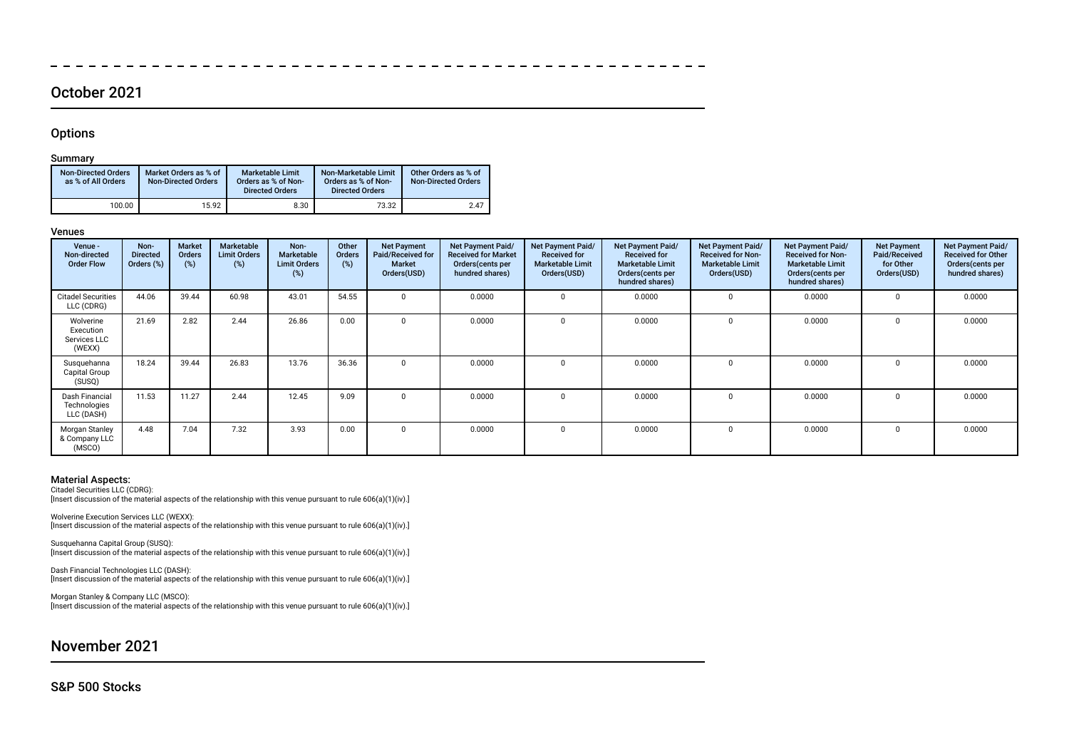### October 2021

### **Options**

#### Summary

| <b>Non-Directed Orders</b><br>as % of All Orders | Market Orders as % of<br><b>Non-Directed Orders</b> | <b>Marketable Limit</b><br>Orders as % of Non-<br><b>Directed Orders</b> | Non-Marketable Limit<br>Orders as % of Non-<br><b>Directed Orders</b> | Other Orders as % of<br><b>Non-Directed Orders</b> |
|--------------------------------------------------|-----------------------------------------------------|--------------------------------------------------------------------------|-----------------------------------------------------------------------|----------------------------------------------------|
| 100.00                                           | 15.92                                               | 8.30                                                                     | 73.32                                                                 | 2.47                                               |

#### Venues

| Venue -<br>Non-directed<br><b>Order Flow</b>     | Non-<br><b>Directed</b><br>Orders (%) | <b>Market</b><br>Orders<br>(%) | <b>Marketable</b><br><b>Limit Orders</b><br>(%) | Non-<br>Marketable<br><b>Limit Orders</b><br>(%) | Other<br>Orders<br>$(\%)$ | <b>Net Payment</b><br>Paid/Received for<br><b>Market</b><br>Orders(USD) | Net Payment Paid/<br><b>Received for Market</b><br>Orders (cents per<br>hundred shares) | Net Payment Paid/<br><b>Received for</b><br><b>Marketable Limit</b><br>Orders(USD) | Net Payment Paid/<br><b>Received for</b><br><b>Marketable Limit</b><br>Orders (cents per<br>hundred shares) | <b>Net Payment Paid/</b><br><b>Received for Non-</b><br><b>Marketable Limit</b><br>Orders(USD) | Net Payment Paid/<br><b>Received for Non-</b><br><b>Marketable Limit</b><br>Orders (cents per<br>hundred shares) | <b>Net Payment</b><br>Paid/Received<br>for Other<br>Orders(USD) | Net Payment Paid/<br><b>Received for Other</b><br>Orders (cents per<br>hundred shares) |
|--------------------------------------------------|---------------------------------------|--------------------------------|-------------------------------------------------|--------------------------------------------------|---------------------------|-------------------------------------------------------------------------|-----------------------------------------------------------------------------------------|------------------------------------------------------------------------------------|-------------------------------------------------------------------------------------------------------------|------------------------------------------------------------------------------------------------|------------------------------------------------------------------------------------------------------------------|-----------------------------------------------------------------|----------------------------------------------------------------------------------------|
| <b>Citadel Securities</b><br>LLC (CDRG)          | 44.06                                 | 39.44                          | 60.98                                           | 43.01                                            | 54.55                     | $\Omega$                                                                | 0.0000                                                                                  |                                                                                    | 0.0000                                                                                                      |                                                                                                | 0.0000                                                                                                           | <sup>0</sup>                                                    | 0.0000                                                                                 |
| Wolverine<br>Execution<br>Services LLC<br>(WEXX) | 21.69                                 | 2.82                           | 2.44                                            | 26.86                                            | 0.00                      | $\Omega$                                                                | 0.0000                                                                                  |                                                                                    | 0.0000                                                                                                      |                                                                                                | 0.0000                                                                                                           | $\Omega$                                                        | 0.0000                                                                                 |
| Susquehanna<br>Capital Group<br>(SUSQ)           | 18.24                                 | 39.44                          | 26.83                                           | 13.76                                            | 36.36                     | $\Omega$                                                                | 0.0000                                                                                  |                                                                                    | 0.0000                                                                                                      | 0                                                                                              | 0.0000                                                                                                           | $\Omega$                                                        | 0.0000                                                                                 |
| Dash Financial<br>Technologies<br>LLC (DASH)     | 11.53                                 | 11.27                          | 2.44                                            | 12.45                                            | 9.09                      | $\Omega$                                                                | 0.0000                                                                                  |                                                                                    | 0.0000                                                                                                      |                                                                                                | 0.0000                                                                                                           | $\Omega$                                                        | 0.0000                                                                                 |
| Morgan Stanley<br>& Company LLC<br>(MSCO)        | 4.48                                  | 7.04                           | 7.32                                            | 3.93                                             | 0.00                      | $\Omega$                                                                | 0.0000                                                                                  |                                                                                    | 0.0000                                                                                                      |                                                                                                | 0.0000                                                                                                           | <sup>0</sup>                                                    | 0.0000                                                                                 |

 $-$ 

 $\frac{1}{2}$ 

 $\overline{\phantom{a}}$   $-$ 

#### Material Aspects:

Citadel Securities LLC (CDRG): Insert discussion of the material aspects of the relationship with this venue pursuant to rule 606(a)(1)(iv).]

Wolverine Execution Services LLC (WEXX): [Insert discussion of the material aspects of the relationship with this venue pursuant to rule 606(a)(1)(iv).]

Susquehanna Capital Group (SUSQ): [Insert discussion of the material aspects of the relationship with this venue pursuant to rule 606(a)(1)(iv).]

Dash Financial Technologies LLC (DASH): [Insert discussion of the material aspects of the relationship with this venue pursuant to rule 606(a)(1)(iv).]

Morgan Stanley & Company LLC (MSCO): [Insert discussion of the material aspects of the relationship with this venue pursuant to rule 606(a)(1)(iv).]

November 2021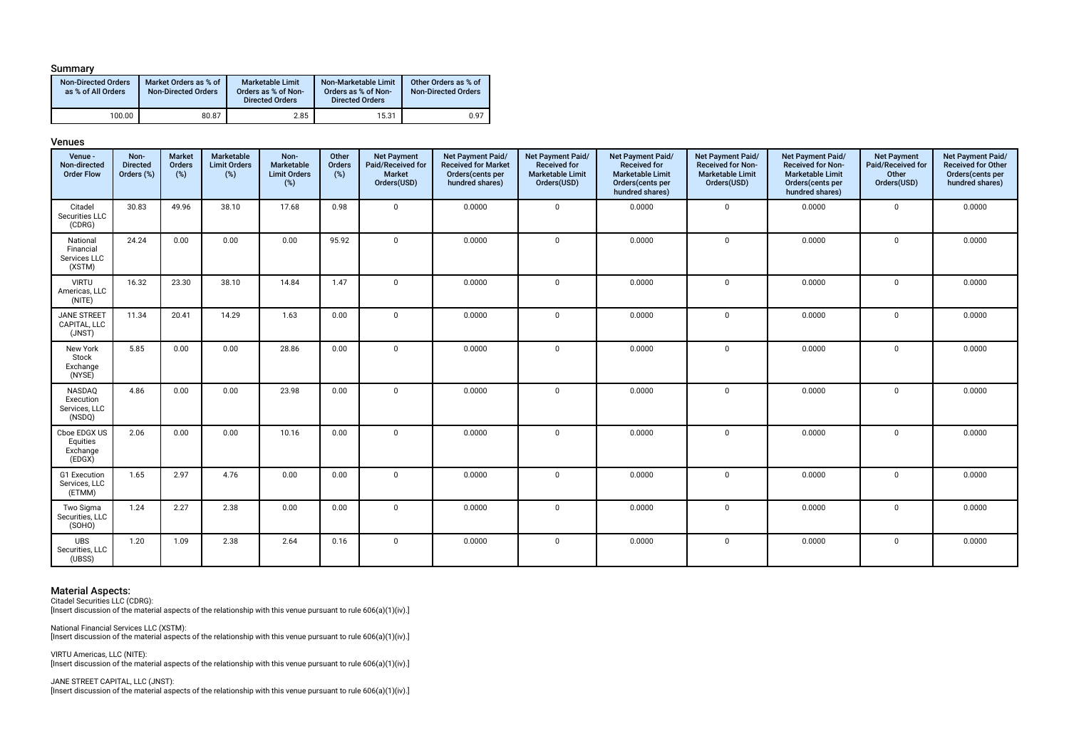#### Summary

| <b>Non-Directed Orders</b><br>as % of All Orders | Market Orders as % of<br><b>Non-Directed Orders</b> | Marketable Limit<br>Orders as % of Non-<br><b>Directed Orders</b> | Non-Marketable Limit<br>Orders as % of Non-<br><b>Directed Orders</b> | Other Orders as % of<br><b>Non-Directed Orders</b> |
|--------------------------------------------------|-----------------------------------------------------|-------------------------------------------------------------------|-----------------------------------------------------------------------|----------------------------------------------------|
| 100.00                                           | 80.87                                               | 2.85                                                              | 15.31                                                                 | 0.97                                               |

#### Venues

| Venue -<br>Non-directed<br><b>Order Flow</b>    | Non-<br><b>Directed</b><br>Orders (%) | <b>Market</b><br>Orders<br>$(\%)$ | Marketable<br><b>Limit Orders</b><br>(%) | Non-<br>Marketable<br><b>Limit Orders</b><br>$(\%)$ | Other<br>Orders<br>$(\%)$ | <b>Net Payment</b><br>Paid/Received for<br>Market<br>Orders(USD) | Net Payment Paid/<br><b>Received for Market</b><br>Orders(cents per<br>hundred shares) | Net Payment Paid/<br><b>Received for</b><br><b>Marketable Limit</b><br>Orders(USD) | Net Payment Paid/<br><b>Received for</b><br><b>Marketable Limit</b><br>Orders(cents per<br>hundred shares) | Net Payment Paid/<br><b>Received for Non-</b><br><b>Marketable Limit</b><br>Orders(USD) | Net Payment Paid/<br><b>Received for Non-</b><br><b>Marketable Limit</b><br>Orders(cents per<br>hundred shares) | <b>Net Payment</b><br>Paid/Received for<br>Other<br>Orders(USD) | Net Payment Paid/<br><b>Received for Other</b><br>Orders(cents per<br>hundred shares) |
|-------------------------------------------------|---------------------------------------|-----------------------------------|------------------------------------------|-----------------------------------------------------|---------------------------|------------------------------------------------------------------|----------------------------------------------------------------------------------------|------------------------------------------------------------------------------------|------------------------------------------------------------------------------------------------------------|-----------------------------------------------------------------------------------------|-----------------------------------------------------------------------------------------------------------------|-----------------------------------------------------------------|---------------------------------------------------------------------------------------|
| Citadel<br>Securities LLC<br>(CDRG)             | 30.83                                 | 49.96                             | 38.10                                    | 17.68                                               | 0.98                      | $\mathbf 0$                                                      | 0.0000                                                                                 | $\mathbf 0$                                                                        | 0.0000                                                                                                     | $\mathbf 0$                                                                             | 0.0000                                                                                                          | $\mathbf 0$                                                     | 0.0000                                                                                |
| National<br>Financial<br>Services LLC<br>(XSTM) | 24.24                                 | 0.00                              | 0.00                                     | 0.00                                                | 95.92                     | $\mathbf{0}$                                                     | 0.0000                                                                                 | $\mathbf{0}$                                                                       | 0.0000                                                                                                     | $\mathbf 0$                                                                             | 0.0000                                                                                                          | $\mathbf 0$                                                     | 0.0000                                                                                |
| <b>VIRTU</b><br>Americas, LLC<br>(NITE)         | 16.32                                 | 23.30                             | 38.10                                    | 14.84                                               | 1.47                      | $\mathbf 0$                                                      | 0.0000                                                                                 | $\mathbf 0$                                                                        | 0.0000                                                                                                     | $\mathbf 0$                                                                             | 0.0000                                                                                                          | $\mathbf 0$                                                     | 0.0000                                                                                |
| <b>JANE STREET</b><br>CAPITAL, LLC<br>(JNST)    | 11.34                                 | 20.41                             | 14.29                                    | 1.63                                                | 0.00                      | $\mathbf{0}$                                                     | 0.0000                                                                                 | $\mathbf 0$                                                                        | 0.0000                                                                                                     | $\mathbf 0$                                                                             | 0.0000                                                                                                          | $\mathbf 0$                                                     | 0.0000                                                                                |
| New York<br>Stock<br>Exchange<br>(NYSE)         | 5.85                                  | 0.00                              | 0.00                                     | 28.86                                               | 0.00                      | $\mathbf 0$                                                      | 0.0000                                                                                 | $\mathbf 0$                                                                        | 0.0000                                                                                                     | $\mathbf 0$                                                                             | 0.0000                                                                                                          | $\mathbf 0$                                                     | 0.0000                                                                                |
| NASDAQ<br>Execution<br>Services, LLC<br>(NSDQ)  | 4.86                                  | 0.00                              | 0.00                                     | 23.98                                               | 0.00                      | $\mathbf{0}$                                                     | 0.0000                                                                                 | $\mathbf 0$                                                                        | 0.0000                                                                                                     | $\mathbf 0$                                                                             | 0.0000                                                                                                          | $\mathsf 0$                                                     | 0.0000                                                                                |
| Cboe EDGX US<br>Equities<br>Exchange<br>(EDGX)  | 2.06                                  | 0.00                              | 0.00                                     | 10.16                                               | 0.00                      | $\Omega$                                                         | 0.0000                                                                                 | $\mathbf 0$                                                                        | 0.0000                                                                                                     | $\mathbf 0$                                                                             | 0.0000                                                                                                          | $\mathbf 0$                                                     | 0.0000                                                                                |
| G1 Execution<br>Services, LLC<br>(ETMM)         | 1.65                                  | 2.97                              | 4.76                                     | 0.00                                                | 0.00                      | $\mathbf{0}$                                                     | 0.0000                                                                                 | 0                                                                                  | 0.0000                                                                                                     | $\mathbf 0$                                                                             | 0.0000                                                                                                          | $\mathbf 0$                                                     | 0.0000                                                                                |
| Two Sigma<br>Securities, LLC<br>(SOHO)          | 1.24                                  | 2.27                              | 2.38                                     | 0.00                                                | 0.00                      | $\mathbf{0}$                                                     | 0.0000                                                                                 | $\mathbf{0}$                                                                       | 0.0000                                                                                                     | $\mathbf 0$                                                                             | 0.0000                                                                                                          | $\mathsf 0$                                                     | 0.0000                                                                                |
| <b>UBS</b><br>Securities, LLC<br>(UBSS)         | 1.20                                  | 1.09                              | 2.38                                     | 2.64                                                | 0.16                      | $\mathbf{0}$                                                     | 0.0000                                                                                 | $\mathbf 0$                                                                        | 0.0000                                                                                                     | $\mathbf 0$                                                                             | 0.0000                                                                                                          | $\mathbf 0$                                                     | 0.0000                                                                                |

**Material Aspects:**<br>Citadel Securities LLC (CDRG):<br>[Insert discussion of the material aspects of the relationship with this venue pursuant to rule 606(a)(1)(iv).]

National Financial Services LLC (XSTM): [Insert discussion of the material aspects of the relationship with this venue pursuant to rule 606(a)(1)(iv).]

VIRTU Americas, LLC (NITE): [Insert discussion of the material aspects of the relationship with this venue pursuant to rule 606(a)(1)(iv).]

JANE STREET CAPITAL, LLC (JNST): [Insert discussion of the material aspects of the relationship with this venue pursuant to rule 606(a)(1)(iv).]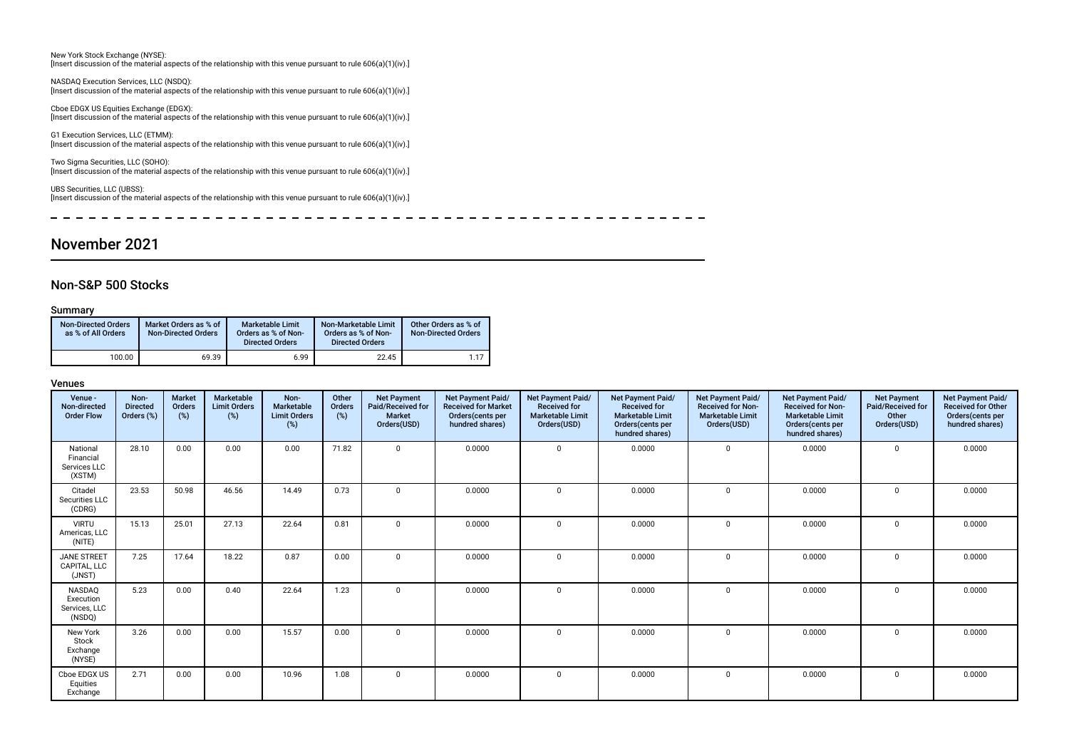New York Stock Exchange (NYSE): [Insert discussion of the material aspects of the relationship with this venue pursuant to rule 606(a)(1)(iv).]

NASDAQ Execution Services, LLC (NSDQ): [Insert discussion of the material aspects of the relationship with this venue pursuant to rule 606(a)(1)(iv).]

Cboe EDGX US Equities Exchange (EDGX): [Insert discussion of the material aspects of the relationship with this venue pursuant to rule 606(a)(1)(iv).]

G1 Execution Services, LLC (ETMM): [Insert discussion of the material aspects of the relationship with this venue pursuant to rule 606(a)(1)(iv).]

Two Sigma Securities, LLC (SOHO): [Insert discussion of the material aspects of the relationship with this venue pursuant to rule 606(a)(1)(iv).]

UBS Securities, LLC (UBSS): [Insert discussion of the material aspects of the relationship with this venue pursuant to rule 606(a)(1)(iv).]

 $\overline{a}$  $\sim$  $-$ 

### November 2021

#### Non-S&P 500 Stocks

#### Summary

| <b>Non-Directed Orders</b><br>as % of All Orders | Market Orders as % of<br><b>Non-Directed Orders</b> | <b>Marketable Limit</b><br>Orders as % of Non-<br><b>Directed Orders</b> | Non-Marketable Limit<br>Orders as % of Non-<br><b>Directed Orders</b> | Other Orders as % of<br><b>Non-Directed Orders</b> |
|--------------------------------------------------|-----------------------------------------------------|--------------------------------------------------------------------------|-----------------------------------------------------------------------|----------------------------------------------------|
| 100.00                                           | 69.39                                               | 6.99                                                                     | 22.45                                                                 | 1.17                                               |

| Venue -<br>Non-directed<br><b>Order Flow</b>          | Non-<br><b>Directed</b><br>Orders (%) | <b>Market</b><br>Orders<br>(%) | Marketable<br><b>Limit Orders</b><br>$(\%)$ | Non-<br>Marketable<br><b>Limit Orders</b><br>(%) | Other<br>Orders<br>(%) | <b>Net Payment</b><br>Paid/Received for<br><b>Market</b><br>Orders(USD) | Net Payment Paid/<br><b>Received for Market</b><br>Orders(cents per<br>hundred shares) | Net Payment Paid/<br><b>Received for</b><br><b>Marketable Limit</b><br>Orders(USD) | Net Payment Paid/<br><b>Received for</b><br><b>Marketable Limit</b><br>Orders(cents per<br>hundred shares) | Net Payment Paid/<br><b>Received for Non-</b><br><b>Marketable Limit</b><br>Orders(USD) | Net Payment Paid/<br><b>Received for Non-</b><br><b>Marketable Limit</b><br>Orders(cents per<br>hundred shares) | <b>Net Payment</b><br>Paid/Received for<br>Other<br>Orders(USD) | Net Payment Paid/<br><b>Received for Other</b><br>Orders(cents per<br>hundred shares) |
|-------------------------------------------------------|---------------------------------------|--------------------------------|---------------------------------------------|--------------------------------------------------|------------------------|-------------------------------------------------------------------------|----------------------------------------------------------------------------------------|------------------------------------------------------------------------------------|------------------------------------------------------------------------------------------------------------|-----------------------------------------------------------------------------------------|-----------------------------------------------------------------------------------------------------------------|-----------------------------------------------------------------|---------------------------------------------------------------------------------------|
| National<br>Financial<br>Services LLC<br>(XSTM)       | 28.10                                 | 0.00                           | 0.00                                        | 0.00                                             | 71.82                  | $\Omega$                                                                | 0.0000                                                                                 | $\mathbf 0$                                                                        | 0.0000                                                                                                     | $\mathbf 0$                                                                             | 0.0000                                                                                                          | $\mathbf 0$                                                     | 0.0000                                                                                |
| Citadel<br>Securities LLC<br>(CDRG)                   | 23.53                                 | 50.98                          | 46.56                                       | 14.49                                            | 0.73                   | $\Omega$                                                                | 0.0000                                                                                 | $\Omega$                                                                           | 0.0000                                                                                                     | $\Omega$                                                                                | 0.0000                                                                                                          | $\mathbf 0$                                                     | 0.0000                                                                                |
| <b>VIRTU</b><br>Americas, LLC<br>(NITE)               | 15.13                                 | 25.01                          | 27.13                                       | 22.64                                            | 0.81                   | <sub>0</sub>                                                            | 0.0000                                                                                 | $\Omega$                                                                           | 0.0000                                                                                                     | $\Omega$                                                                                | 0.0000                                                                                                          | $\Omega$                                                        | 0.0000                                                                                |
| <b>JANE STREET</b><br>CAPITAL, LLC<br>(JNST)          | 7.25                                  | 17.64                          | 18.22                                       | 0.87                                             | 0.00                   | $\Omega$                                                                | 0.0000                                                                                 | $\Omega$                                                                           | 0.0000                                                                                                     | $\Omega$                                                                                | 0.0000                                                                                                          | $\Omega$                                                        | 0.0000                                                                                |
| <b>NASDAO</b><br>Execution<br>Services, LLC<br>(NSDQ) | 5.23                                  | 0.00                           | 0.40                                        | 22.64                                            | 1.23                   | $\Omega$                                                                | 0.0000                                                                                 | $\Omega$                                                                           | 0.0000                                                                                                     | $\Omega$                                                                                | 0.0000                                                                                                          | $\Omega$                                                        | 0.0000                                                                                |
| New York<br>Stock<br>Exchange<br>(NYSE)               | 3.26                                  | 0.00                           | 0.00                                        | 15.57                                            | 0.00                   | $\Omega$                                                                | 0.0000                                                                                 | $\Omega$                                                                           | 0.0000                                                                                                     | $\Omega$                                                                                | 0.0000                                                                                                          | $\mathbf 0$                                                     | 0.0000                                                                                |
| Cboe EDGX US<br>Equities<br>Exchange                  | 2.71                                  | 0.00                           | 0.00                                        | 10.96                                            | 1.08                   | $\Omega$                                                                | 0.0000                                                                                 | $\Omega$                                                                           | 0.0000                                                                                                     | $\Omega$                                                                                | 0.0000                                                                                                          | $\mathbf 0$                                                     | 0.0000                                                                                |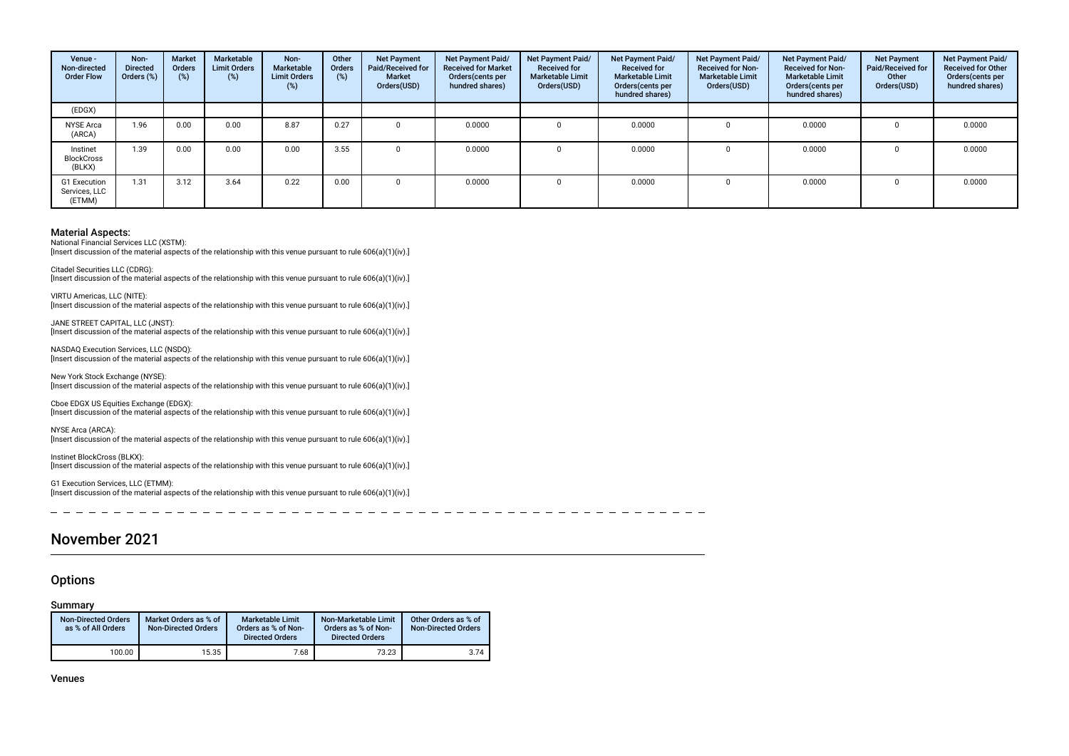| Venue -<br>Non-directed<br><b>Order Flow</b> | Non-<br><b>Directed</b><br>Orders (%) | <b>Market</b><br><b>Orders</b><br>(%) | Marketable<br><b>Limit Orders</b><br>$(\%)$ | Non-<br>Marketable<br><b>Limit Orders</b><br>(%) | Other<br><b>Orders</b><br>(%) | <b>Net Payment</b><br>Paid/Received for<br><b>Market</b><br>Orders(USD) | Net Payment Paid/<br><b>Received for Market</b><br>Orders (cents per<br>hundred shares) | Net Payment Paid/<br><b>Received for</b><br><b>Marketable Limit</b><br>Orders(USD) | <b>Net Payment Paid/</b><br><b>Received for</b><br><b>Marketable Limit</b><br>Orders (cents per<br>hundred shares) | Net Payment Paid/<br><b>Received for Non-</b><br><b>Marketable Limit</b><br>Orders(USD) | Net Payment Paid/<br><b>Received for Non-</b><br><b>Marketable Limit</b><br>Orders (cents per<br>hundred shares) | <b>Net Payment</b><br>Paid/Received for<br>Other<br>Orders(USD) | Net Payment Paid/<br><b>Received for Other</b><br>Orders (cents per<br>hundred shares) |
|----------------------------------------------|---------------------------------------|---------------------------------------|---------------------------------------------|--------------------------------------------------|-------------------------------|-------------------------------------------------------------------------|-----------------------------------------------------------------------------------------|------------------------------------------------------------------------------------|--------------------------------------------------------------------------------------------------------------------|-----------------------------------------------------------------------------------------|------------------------------------------------------------------------------------------------------------------|-----------------------------------------------------------------|----------------------------------------------------------------------------------------|
| (EDGX)                                       |                                       |                                       |                                             |                                                  |                               |                                                                         |                                                                                         |                                                                                    |                                                                                                                    |                                                                                         |                                                                                                                  |                                                                 |                                                                                        |
| <b>NYSE Arca</b><br>(ARCA)                   | 1.96                                  | 0.00                                  | 0.00                                        | 8.87                                             | 0.27                          |                                                                         | 0.0000                                                                                  |                                                                                    | 0.0000                                                                                                             |                                                                                         | 0.0000                                                                                                           |                                                                 | 0.0000                                                                                 |
| Instinet<br><b>BlockCross</b><br>(BLKX)      | 1.39                                  | 0.00                                  | 0.00                                        | 0.00                                             | 3.55                          |                                                                         | 0.0000                                                                                  |                                                                                    | 0.0000                                                                                                             |                                                                                         | 0.0000                                                                                                           |                                                                 | 0.0000                                                                                 |
| G1 Execution<br>Services, LLC<br>(ETMM)      | 1.31                                  | 3.12                                  | 3.64                                        | 0.22                                             | 0.00                          |                                                                         | 0.0000                                                                                  |                                                                                    | 0.0000                                                                                                             |                                                                                         | 0.0000                                                                                                           |                                                                 | 0.0000                                                                                 |

National Financial Services LLC (XSTM): [Insert discussion of the material aspects of the relationship with this venue pursuant to rule 606(a)(1)(iv).]

Citadel Securities LLC (CDRG): [Insert discussion of the material aspects of the relationship with this venue pursuant to rule 606(a)(1)(iv).]

VIRTU Americas, LLC (NITE): [Insert discussion of the material aspects of the relationship with this venue pursuant to rule 606(a)(1)(iv).]

JANE STREET CAPITAL, LLC (JNST): [Insert discussion of the material aspects of the relationship with this venue pursuant to rule 606(a)(1)(iv).]

NASDAQ Execution Services, LLC (NSDQ): [Insert discussion of the material aspects of the relationship with this venue pursuant to rule 606(a)(1)(iv).]

New York Stock Exchange (NYSE): [Insert discussion of the material aspects of the relationship with this venue pursuant to rule 606(a)(1)(iv).]

Cboe EDGX US Equities Exchange (EDGX): [Insert discussion of the material aspects of the relationship with this venue pursuant to rule 606(a)(1)(iv).]

NYSE Arca (ARCA):

[Insert discussion of the material aspects of the relationship with this venue pursuant to rule 606(a)(1)(iv).]

Instinet BlockCross (BLKX): [Insert discussion of the material aspects of the relationship with this venue pursuant to rule 606(a)(1)(iv).]

G1 Execution Services, LLC (ETMM): [Insert discussion of the material aspects of the relationship with this venue pursuant to rule 606(a)(1)(iv).]

-----------\_ \_ \_ \_ \_ \_ \_ \_ \_ \_ \_ \_ \_ \_ \_ \_ \_

### November 2021

#### **Options**

#### Summary

| <b>Non-Directed Orders</b><br>as % of All Orders | Market Orders as % of<br><b>Non-Directed Orders</b> | <b>Marketable Limit</b><br>Orders as % of Non-<br><b>Directed Orders</b> | Non-Marketable Limit<br>Orders as % of Non-<br><b>Directed Orders</b> | Other Orders as % of<br><b>Non-Directed Orders</b> |
|--------------------------------------------------|-----------------------------------------------------|--------------------------------------------------------------------------|-----------------------------------------------------------------------|----------------------------------------------------|
| 100.00                                           | 15.35                                               | 7.68                                                                     | 73.23                                                                 | 3.74                                               |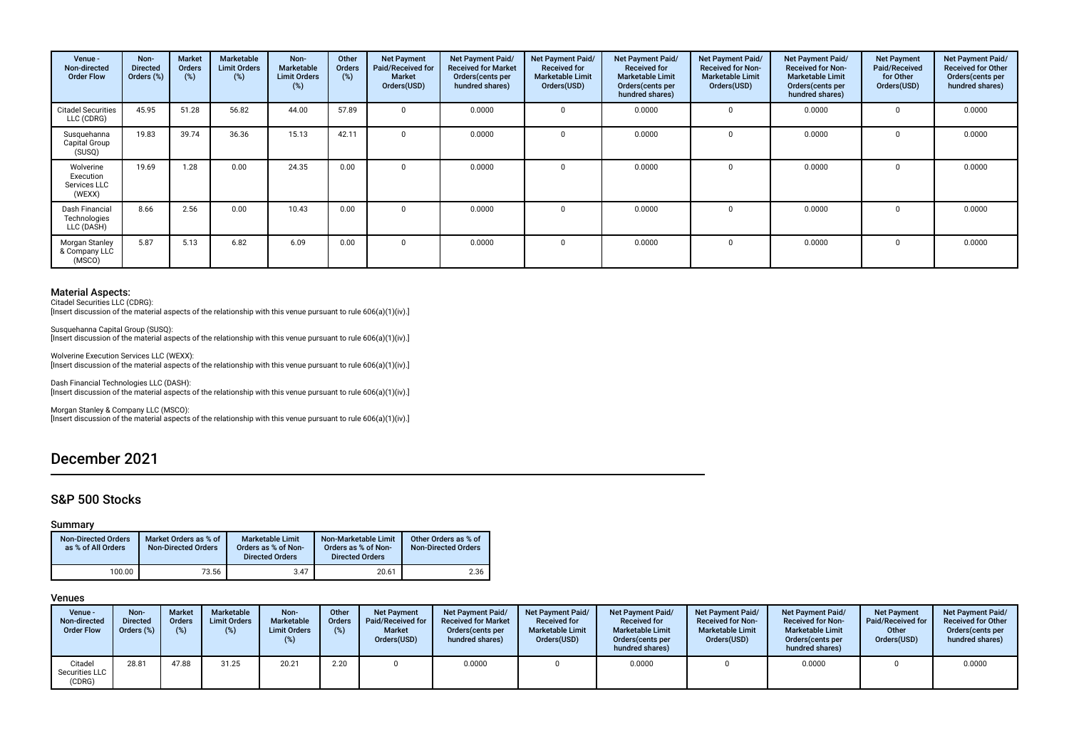| Venue -<br>Non-directed<br><b>Order Flow</b>     | Non-<br><b>Directed</b><br>Orders (%) | <b>Market</b><br><b>Orders</b><br>(%) | Marketable<br><b>Limit Orders</b><br>(%) | Non-<br>Marketable<br><b>Limit Orders</b><br>(%) | Other<br><b>Orders</b><br>(%) | <b>Net Payment</b><br>Paid/Received for<br><b>Market</b><br>Orders(USD) | Net Payment Paid/<br><b>Received for Market</b><br>Orders (cents per<br>hundred shares) | Net Payment Paid/<br><b>Received for</b><br><b>Marketable Limit</b><br>Orders(USD) | Net Payment Paid/<br><b>Received for</b><br><b>Marketable Limit</b><br>Orders (cents per<br>hundred shares) | Net Payment Paid/<br><b>Received for Non-</b><br><b>Marketable Limit</b><br>Orders(USD) | Net Payment Paid/<br><b>Received for Non-</b><br><b>Marketable Limit</b><br>Orders(cents per<br>hundred shares) | <b>Net Payment</b><br>Paid/Received<br>for Other<br>Orders(USD) | Net Payment Paid/<br><b>Received for Other</b><br>Orders(cents per<br>hundred shares) |
|--------------------------------------------------|---------------------------------------|---------------------------------------|------------------------------------------|--------------------------------------------------|-------------------------------|-------------------------------------------------------------------------|-----------------------------------------------------------------------------------------|------------------------------------------------------------------------------------|-------------------------------------------------------------------------------------------------------------|-----------------------------------------------------------------------------------------|-----------------------------------------------------------------------------------------------------------------|-----------------------------------------------------------------|---------------------------------------------------------------------------------------|
| <b>Citadel Securities</b><br>LLC (CDRG)          | 45.95                                 | 51.28                                 | 56.82                                    | 44.00                                            | 57.89                         |                                                                         | 0.0000                                                                                  |                                                                                    | 0.0000                                                                                                      |                                                                                         | 0.0000                                                                                                          |                                                                 | 0.0000                                                                                |
| Susquehanna<br>Capital Group<br>(SUSQ)           | 19.83                                 | 39.74                                 | 36.36                                    | 15.13                                            | 42.11                         | $\Omega$                                                                | 0.0000                                                                                  |                                                                                    | 0.0000                                                                                                      |                                                                                         | 0.0000                                                                                                          |                                                                 | 0.0000                                                                                |
| Wolverine<br>Execution<br>Services LLC<br>(WEXX) | 19.69                                 | 1.28                                  | 0.00                                     | 24.35                                            | 0.00                          | $\Omega$                                                                | 0.0000                                                                                  | $\Omega$                                                                           | 0.0000                                                                                                      |                                                                                         | 0.0000                                                                                                          |                                                                 | 0.0000                                                                                |
| Dash Financial<br>Technologies<br>LLC (DASH)     | 8.66                                  | 2.56                                  | 0.00                                     | 10.43                                            | 0.00                          | $\Omega$                                                                | 0.0000                                                                                  |                                                                                    | 0.0000                                                                                                      |                                                                                         | 0.0000                                                                                                          |                                                                 | 0.0000                                                                                |
| Morgan Stanley<br>& Company LLC<br>(MSCO)        | 5.87                                  | 5.13                                  | 6.82                                     | 6.09                                             | 0.00                          | $\Omega$                                                                | 0.0000                                                                                  |                                                                                    | 0.0000                                                                                                      |                                                                                         | 0.0000                                                                                                          |                                                                 | 0.0000                                                                                |

Citadel Securities LLC (CDRG): [Insert discussion of the material aspects of the relationship with this venue pursuant to rule 606(a)(1)(iv).]

Susquehanna Capital Group (SUSQ): [Insert discussion of the material aspects of the relationship with this venue pursuant to rule 606(a)(1)(iv).]

Wolverine Execution Services LLC (WEXX): [Insert discussion of the material aspects of the relationship with this venue pursuant to rule 606(a)(1)(iv).]

Dash Financial Technologies LLC (DASH): [Insert discussion of the material aspects of the relationship with this venue pursuant to rule 606(a)(1)(iv).]

Morgan Stanley & Company LLC (MSCO): [Insert discussion of the material aspects of the relationship with this venue pursuant to rule 606(a)(1)(iv).]

## December 2021

### S&P 500 Stocks

#### Summary

| <b>Non-Directed Orders</b><br>as % of All Orders | Market Orders as % of<br><b>Non-Directed Orders</b> | Marketable Limit<br>Orders as % of Non-<br><b>Directed Orders</b> | Non-Marketable Limit<br>Orders as % of Non-<br><b>Directed Orders</b> | Other Orders as % of<br><b>Non-Directed Orders</b> |
|--------------------------------------------------|-----------------------------------------------------|-------------------------------------------------------------------|-----------------------------------------------------------------------|----------------------------------------------------|
| 100.00                                           | 73.56                                               | 3.47                                                              | 20.61                                                                 | 2.36                                               |

| Venue -<br>Non-directed<br><b>Order Flow</b> | Non-<br><b>Directed</b><br>Orders (%) | <b>Market</b><br><b>Orders</b><br>$(\%)$ | Marketable<br><b>Limit Orders</b><br>(%) | Non-<br>Marketable<br><b>Limit Orders</b><br>(%) | Other<br><b>Orders</b><br>(%) | <b>Net Payment</b><br>Paid/Received for<br><b>Market</b><br>Orders(USD) | Net Payment Paid/<br><b>Received for Market</b><br>Orders cents per<br>hundred shares) | <b>Net Payment Paid/</b><br><b>Received for</b><br><b>Marketable Limit</b><br>Orders(USD) | <b>Net Payment Paid/</b><br><b>Received for</b><br><b>Marketable Limit</b><br>Orders (cents per<br>hundred shares) | <b>Net Payment Paid/</b><br><b>Received for Non-</b><br><b>Marketable Limit</b><br>Orders(USD) | <b>Net Payment Paid/</b><br><b>Received for Non-</b><br><b>Marketable Limit</b><br>Orders (cents per<br>hundred shares) | <b>Net Payment</b><br>Paid/Received for<br>Other<br>Orders(USD) | <b>Net Payment Paid/</b><br><b>Received for Other</b><br>Orders(cents per<br>hundred shares) |
|----------------------------------------------|---------------------------------------|------------------------------------------|------------------------------------------|--------------------------------------------------|-------------------------------|-------------------------------------------------------------------------|----------------------------------------------------------------------------------------|-------------------------------------------------------------------------------------------|--------------------------------------------------------------------------------------------------------------------|------------------------------------------------------------------------------------------------|-------------------------------------------------------------------------------------------------------------------------|-----------------------------------------------------------------|----------------------------------------------------------------------------------------------|
| Citadel<br>Securities LLC<br>(CDRG)          | 28.81                                 | 47.88                                    | 31.25                                    | 20.21                                            | 2.20                          |                                                                         | 0.0000                                                                                 |                                                                                           | 0.0000                                                                                                             |                                                                                                | 0.0000                                                                                                                  |                                                                 | 0.0000                                                                                       |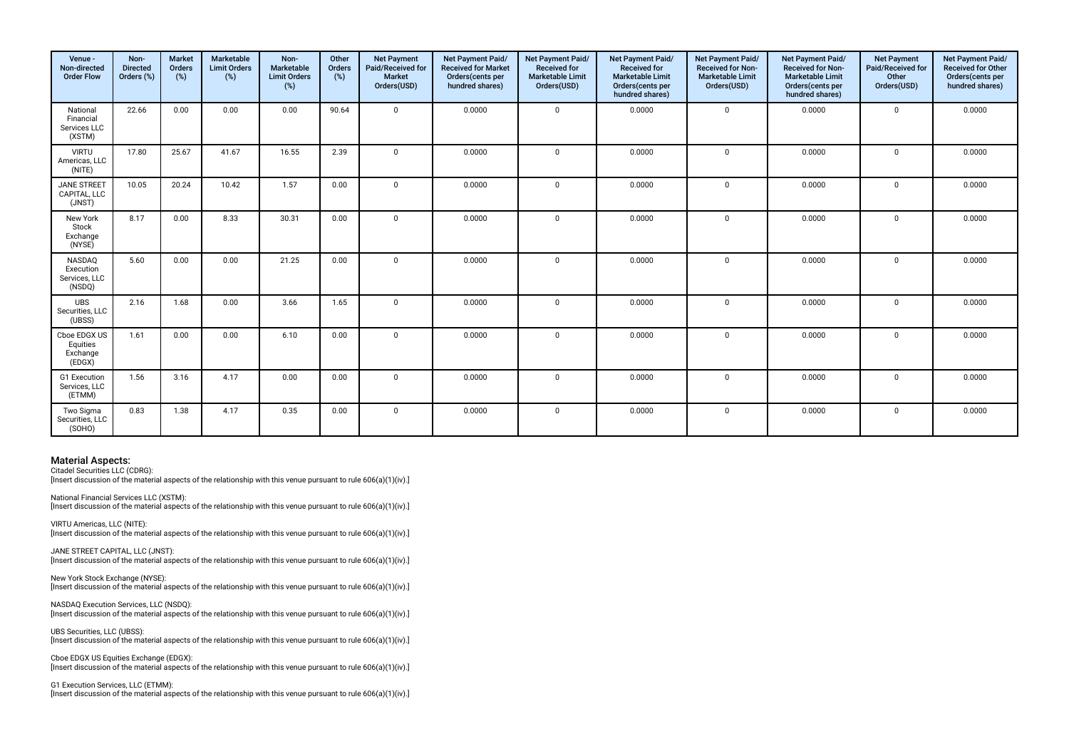| Venue -<br>Non-directed<br><b>Order Flow</b>    | Non-<br><b>Directed</b><br>Orders (%) | <b>Market</b><br>Orders<br>(%) | Marketable<br><b>Limit Orders</b><br>(%) | Non-<br>Marketable<br><b>Limit Orders</b><br>(%) | Other<br>Orders<br>(%) | <b>Net Payment</b><br>Paid/Received for<br><b>Market</b><br>Orders(USD) | Net Payment Paid/<br><b>Received for Market</b><br>Orders(cents per<br>hundred shares) | Net Payment Paid/<br><b>Received for</b><br><b>Marketable Limit</b><br>Orders(USD) | Net Payment Paid/<br><b>Received for</b><br><b>Marketable Limit</b><br>Orders(cents per<br>hundred shares) | Net Payment Paid/<br><b>Received for Non-</b><br><b>Marketable Limit</b><br>Orders(USD) | Net Payment Paid/<br><b>Received for Non-</b><br><b>Marketable Limit</b><br>Orders(cents per<br>hundred shares) | <b>Net Payment</b><br>Paid/Received for<br>Other<br>Orders(USD) | Net Payment Paid/<br><b>Received for Other</b><br>Orders(cents per<br>hundred shares) |
|-------------------------------------------------|---------------------------------------|--------------------------------|------------------------------------------|--------------------------------------------------|------------------------|-------------------------------------------------------------------------|----------------------------------------------------------------------------------------|------------------------------------------------------------------------------------|------------------------------------------------------------------------------------------------------------|-----------------------------------------------------------------------------------------|-----------------------------------------------------------------------------------------------------------------|-----------------------------------------------------------------|---------------------------------------------------------------------------------------|
| National<br>Financial<br>Services LLC<br>(XSTM) | 22.66                                 | 0.00                           | 0.00                                     | 0.00                                             | 90.64                  | $\mathbf 0$                                                             | 0.0000                                                                                 | $\Omega$                                                                           | 0.0000                                                                                                     | $\mathbf{0}$                                                                            | 0.0000                                                                                                          | $\mathbf 0$                                                     | 0.0000                                                                                |
| <b>VIRTU</b><br>Americas, LLC<br>(NITE)         | 17.80                                 | 25.67                          | 41.67                                    | 16.55                                            | 2.39                   | $\Omega$                                                                | 0.0000                                                                                 | $\Omega$                                                                           | 0.0000                                                                                                     | $\mathbf 0$                                                                             | 0.0000                                                                                                          | $\Omega$                                                        | 0.0000                                                                                |
| JANE STREET<br>CAPITAL, LLC<br>(JNST)           | 10.05                                 | 20.24                          | 10.42                                    | 1.57                                             | 0.00                   | $\mathbf 0$                                                             | 0.0000                                                                                 | $\Omega$                                                                           | 0.0000                                                                                                     | $\mathbf 0$                                                                             | 0.0000                                                                                                          | $\mathbf 0$                                                     | 0.0000                                                                                |
| New York<br>Stock<br>Exchange<br>(NYSE)         | 8.17                                  | 0.00                           | 8.33                                     | 30.31                                            | 0.00                   | $\Omega$                                                                | 0.0000                                                                                 | $\Omega$                                                                           | 0.0000                                                                                                     | $\mathbf 0$                                                                             | 0.0000                                                                                                          | $\mathbf 0$                                                     | 0.0000                                                                                |
| NASDAQ<br>Execution<br>Services, LLC<br>(NSDQ)  | 5.60                                  | 0.00                           | 0.00                                     | 21.25                                            | 0.00                   | $\mathbf 0$                                                             | 0.0000                                                                                 | $\Omega$                                                                           | 0.0000                                                                                                     | $\mathbf 0$                                                                             | 0.0000                                                                                                          | $\Omega$                                                        | 0.0000                                                                                |
| <b>UBS</b><br>Securities, LLC<br>(UBSS)         | 2.16                                  | 1.68                           | 0.00                                     | 3.66                                             | 1.65                   | $\Omega$                                                                | 0.0000                                                                                 | $\Omega$                                                                           | 0.0000                                                                                                     | $\mathbf 0$                                                                             | 0.0000                                                                                                          | $\Omega$                                                        | 0.0000                                                                                |
| Cboe EDGX US<br>Equities<br>Exchange<br>(EDGX)  | 1.61                                  | 0.00                           | 0.00                                     | 6.10                                             | 0.00                   | $\Omega$                                                                | 0.0000                                                                                 | $\Omega$                                                                           | 0.0000                                                                                                     | $\mathbf 0$                                                                             | 0.0000                                                                                                          | $\Omega$                                                        | 0.0000                                                                                |
| G1 Execution<br>Services, LLC<br>(ETMM)         | 1.56                                  | 3.16                           | 4.17                                     | 0.00                                             | 0.00                   | $\Omega$                                                                | 0.0000                                                                                 | $\Omega$                                                                           | 0.0000                                                                                                     | $\mathbf 0$                                                                             | 0.0000                                                                                                          | $\mathbf 0$                                                     | 0.0000                                                                                |
| Two Sigma<br>Securities, LLC<br>(SOHO)          | 0.83                                  | 1.38                           | 4.17                                     | 0.35                                             | 0.00                   | $\mathbf 0$                                                             | 0.0000                                                                                 | $\Omega$                                                                           | 0.0000                                                                                                     | 0                                                                                       | 0.0000                                                                                                          | $\mathbf 0$                                                     | 0.0000                                                                                |

Citadel Securities LLC (CDRG): [Insert discussion of the material aspects of the relationship with this venue pursuant to rule 606(a)(1)(iv).]

National Financial Services LLC (XSTM): [Insert discussion of the material aspects of the relationship with this venue pursuant to rule  $606(a)(1)(iv)$ .]

VIRTU Americas, LLC (NITE): [Insert discussion of the material aspects of the relationship with this venue pursuant to rule 606(a)(1)(iv).]

JANE STREET CAPITAL, LLC (JNST):  $\lim$ gert discussion of the material aspects of the relationship with this venue pursuant to rule 606(a)(1)(iv).

New York Stock Exchange (NYSE): [Insert discussion of the material aspects of the relationship with this venue pursuant to rule 606(a)(1)(iv).]

NASDAQ Execution Services, LLC (NSDQ): [Insert discussion of the material aspects of the relationship with this venue pursuant to rule 606(a)(1)(iv).]

UBS Securities, LLC (UBSS): [Insert discussion of the material aspects of the relationship with this venue pursuant to rule 606(a)(1)(iv).]

Cboe EDGX US Equities Exchange (EDGX): [Insert discussion of the material aspects of the relationship with this venue pursuant to rule 606(a)(1)(iv).]

G1 Execution Services, LLC (ETMM): [Insert discussion of the material aspects of the relationship with this venue pursuant to rule 606(a)(1)(iv).]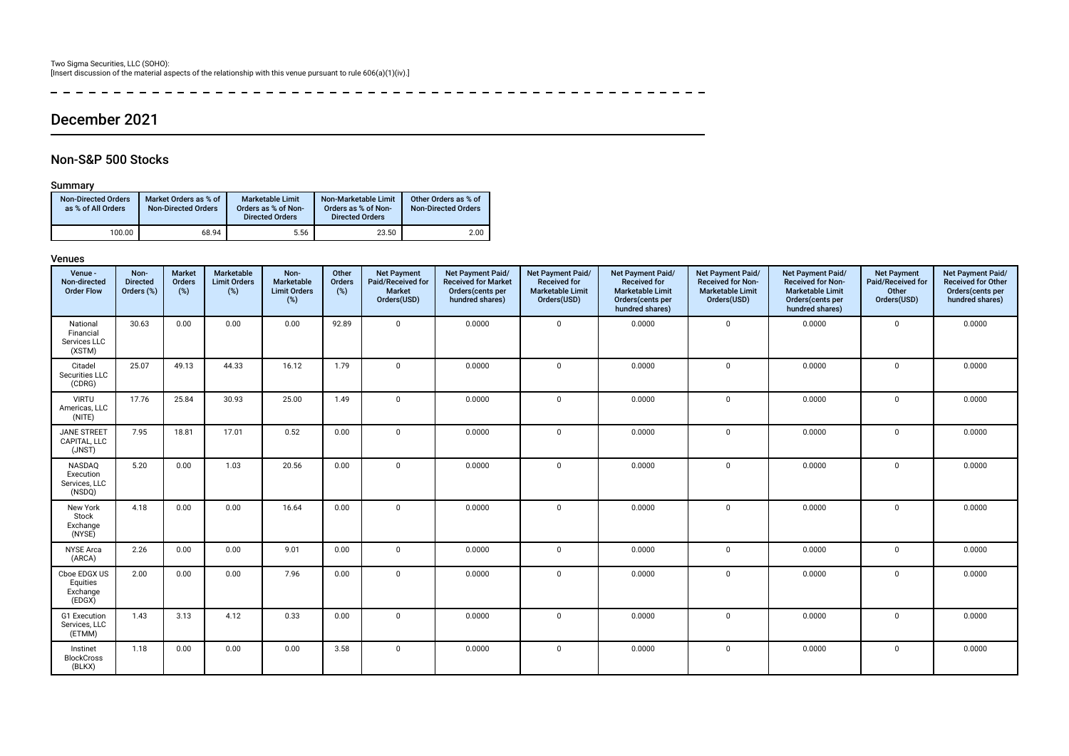\_\_\_\_\_\_\_\_\_\_\_\_\_\_\_\_\_\_\_\_\_\_\_\_  $\frac{1}{2}$  $- - - - - - - -$ 

## December 2021

### Non-S&P 500 Stocks

#### Summary

| <b>Non-Directed Orders</b><br>as % of All Orders | Market Orders as % of<br><b>Non-Directed Orders</b> | Marketable Limit<br>Orders as % of Non-<br><b>Directed Orders</b> | Non-Marketable Limit<br>Orders as % of Non-<br><b>Directed Orders</b> | Other Orders as % of<br><b>Non-Directed Orders</b> |
|--------------------------------------------------|-----------------------------------------------------|-------------------------------------------------------------------|-----------------------------------------------------------------------|----------------------------------------------------|
| 100.00                                           | 68.94                                               | 5.56                                                              | 23.50                                                                 | 2.00                                               |

| Venue -<br>Non-directed<br><b>Order Flow</b>    | Non-<br><b>Directed</b><br>Orders (%) | <b>Market</b><br>Orders<br>$(\%)$ | Marketable<br><b>Limit Orders</b><br>$(\%)$ | Non-<br>Marketable<br><b>Limit Orders</b><br>(%) | Other<br>Orders<br>(%) | <b>Net Payment</b><br>Paid/Received for<br>Market<br>Orders(USD) | Net Payment Paid/<br><b>Received for Market</b><br>Orders(cents per<br>hundred shares) | Net Payment Paid/<br><b>Received for</b><br><b>Marketable Limit</b><br>Orders(USD) | Net Payment Paid/<br><b>Received for</b><br><b>Marketable Limit</b><br>Orders(cents per<br>hundred shares) | Net Payment Paid/<br><b>Received for Non-</b><br><b>Marketable Limit</b><br>Orders(USD) | Net Payment Paid/<br><b>Received for Non-</b><br><b>Marketable Limit</b><br>Orders(cents per<br>hundred shares) | <b>Net Payment</b><br>Paid/Received for<br>Other<br>Orders(USD) | Net Payment Paid/<br><b>Received for Other</b><br>Orders(cents per<br>hundred shares) |
|-------------------------------------------------|---------------------------------------|-----------------------------------|---------------------------------------------|--------------------------------------------------|------------------------|------------------------------------------------------------------|----------------------------------------------------------------------------------------|------------------------------------------------------------------------------------|------------------------------------------------------------------------------------------------------------|-----------------------------------------------------------------------------------------|-----------------------------------------------------------------------------------------------------------------|-----------------------------------------------------------------|---------------------------------------------------------------------------------------|
| National<br>Financial<br>Services LLC<br>(XSTM) | 30.63                                 | 0.00                              | 0.00                                        | 0.00                                             | 92.89                  | $\Omega$                                                         | 0.0000                                                                                 | $\mathbf 0$                                                                        | 0.0000                                                                                                     | $\mathbf 0$                                                                             | 0.0000                                                                                                          | $\mathbf 0$                                                     | 0.0000                                                                                |
| Citadel<br>Securities LLC<br>(CDRG)             | 25.07                                 | 49.13                             | 44.33                                       | 16.12                                            | 1.79                   | $\Omega$                                                         | 0.0000                                                                                 | $\mathbf 0$                                                                        | 0.0000                                                                                                     | $\mathbf 0$                                                                             | 0.0000                                                                                                          | $\Omega$                                                        | 0.0000                                                                                |
| <b>VIRTU</b><br>Americas, LLC<br>(NITE)         | 17.76                                 | 25.84                             | 30.93                                       | 25.00                                            | 1.49                   | $\Omega$                                                         | 0.0000                                                                                 | $\mathbf 0$                                                                        | 0.0000                                                                                                     | $\mathbf 0$                                                                             | 0.0000                                                                                                          | $\Omega$                                                        | 0.0000                                                                                |
| <b>JANE STREET</b><br>CAPITAL, LLC<br>(JNST)    | 7.95                                  | 18.81                             | 17.01                                       | 0.52                                             | 0.00                   | $\Omega$                                                         | 0.0000                                                                                 | $\mathbf 0$                                                                        | 0.0000                                                                                                     | $\mathbf 0$                                                                             | 0.0000                                                                                                          | $\mathbf 0$                                                     | 0.0000                                                                                |
| NASDAQ<br>Execution<br>Services, LLC<br>(NSDQ)  | 5.20                                  | 0.00                              | 1.03                                        | 20.56                                            | 0.00                   | $\Omega$                                                         | 0.0000                                                                                 | $\mathbf 0$                                                                        | 0.0000                                                                                                     | $\mathbf 0$                                                                             | 0.0000                                                                                                          | $\Omega$                                                        | 0.0000                                                                                |
| New York<br>Stock<br>Exchange<br>(NYSE)         | 4.18                                  | 0.00                              | 0.00                                        | 16.64                                            | 0.00                   | $\Omega$                                                         | 0.0000                                                                                 | $\mathbf 0$                                                                        | 0.0000                                                                                                     | $\mathbf 0$                                                                             | 0.0000                                                                                                          | $\Omega$                                                        | 0.0000                                                                                |
| <b>NYSE Arca</b><br>(ARCA)                      | 2.26                                  | 0.00                              | 0.00                                        | 9.01                                             | 0.00                   | $\Omega$                                                         | 0.0000                                                                                 | 0                                                                                  | 0.0000                                                                                                     | $\mathbf 0$                                                                             | 0.0000                                                                                                          | $\mathbf 0$                                                     | 0.0000                                                                                |
| Cboe EDGX US<br>Equities<br>Exchange<br>(EDGX)  | 2.00                                  | 0.00                              | 0.00                                        | 7.96                                             | 0.00                   | $\Omega$                                                         | 0.0000                                                                                 | $\mathbf 0$                                                                        | 0.0000                                                                                                     | $\mathbf 0$                                                                             | 0.0000                                                                                                          | $\mathbf 0$                                                     | 0.0000                                                                                |
| G1 Execution<br>Services, LLC<br>(ETMM)         | 1.43                                  | 3.13                              | 4.12                                        | 0.33                                             | 0.00                   | $\Omega$                                                         | 0.0000                                                                                 | $\mathbf 0$                                                                        | 0.0000                                                                                                     | $\mathbf 0$                                                                             | 0.0000                                                                                                          | $\mathbf 0$                                                     | 0.0000                                                                                |
| Instinet<br><b>BlockCross</b><br>(BLKX)         | 1.18                                  | 0.00                              | 0.00                                        | 0.00                                             | 3.58                   | $\Omega$                                                         | 0.0000                                                                                 | $\mathbf 0$                                                                        | 0.0000                                                                                                     | $\mathbf 0$                                                                             | 0.0000                                                                                                          | $^{\circ}$                                                      | 0.0000                                                                                |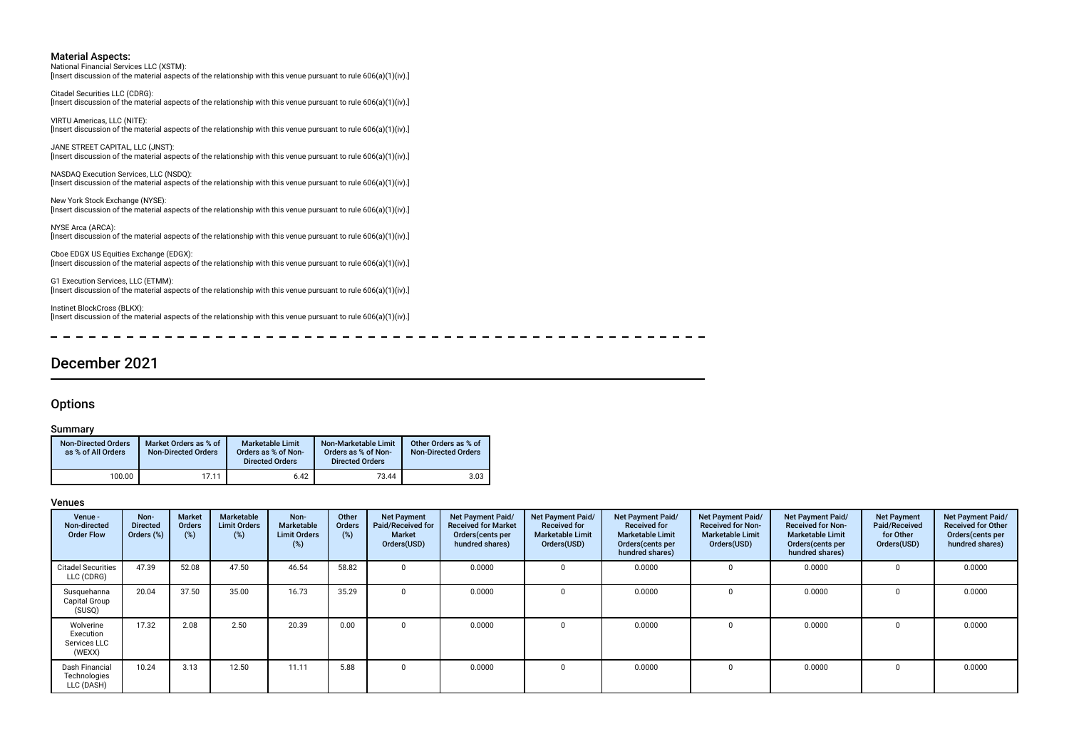National Financial Services LLC (XSTM): [Insert discussion of the material aspects of the relationship with this venue pursuant to rule 606(a)(1)(iv).]

Citadel Securities LLC (CDRG): [Insert discussion of the material aspects of the relationship with this venue pursuant to rule 606(a)(1)(iv).]

VIRTU Americas, LLC (NITE): [Insert discussion of the material aspects of the relationship with this venue pursuant to rule 606(a)(1)(iv).]

JANE STREET CAPITAL, LLC (JNST): [Insert discussion of the material aspects of the relationship with this venue pursuant to rule 606(a)(1)(iv).]

NASDAQ Execution Services, LLC (NSDQ): [Insert discussion of the material aspects of the relationship with this venue pursuant to rule 606(a)(1)(iv).]

New York Stock Exchange (NYSE): [Insert discussion of the material aspects of the relationship with this venue pursuant to rule 606(a)(1)(iv).]

NYSE Arca (ARCA): [Insert discussion of the material aspects of the relationship with this venue pursuant to rule 606(a)(1)(iv).]

Cboe EDGX US Equities Exchange (EDGX): [Insert discussion of the material aspects of the relationship with this venue pursuant to rule 606(a)(1)(iv).]

G1 Execution Services, LLC (ETMM): [Insert discussion of the material aspects of the relationship with this venue pursuant to rule 606(a)(1)(iv).]

Instinet BlockCross (BLKX): [Insert discussion of the material aspects of the relationship with this venue pursuant to rule 606(a)(1)(iv).]

 $\overline{\phantom{0}}$  $\overline{\phantom{0}}$  $\overline{\phantom{0}}$  $-$ 

### December 2021

#### **Options**

 $\sim$ 

#### Summary

| <b>Non-Directed Orders</b><br>as % of All Orders | Market Orders as % of<br><b>Non-Directed Orders</b> | <b>Marketable Limit</b><br>Orders as % of Non-<br><b>Directed Orders</b> | Non-Marketable Limit<br>Orders as % of Non-<br><b>Directed Orders</b> | Other Orders as % of<br><b>Non-Directed Orders</b> |
|--------------------------------------------------|-----------------------------------------------------|--------------------------------------------------------------------------|-----------------------------------------------------------------------|----------------------------------------------------|
| 100.00                                           | 17.11                                               | 6.42                                                                     | 73.44                                                                 | 3.03                                               |

| Venue -<br>Non-directed<br><b>Order Flow</b>     | Non-<br><b>Directed</b><br>Orders (%) | <b>Market</b><br>Orders<br>(%) | Marketable<br><b>Limit Orders</b><br>(%) | Non-<br><b>Marketable</b><br><b>Limit Orders</b><br>(%) | Other<br>Orders<br>(%) | <b>Net Payment</b><br>Paid/Received for<br><b>Market</b><br>Orders(USD) | Net Payment Paid/<br><b>Received for Market</b><br>Orders (cents per<br>hundred shares) | Net Payment Paid/<br><b>Received for</b><br><b>Marketable Limit</b><br>Orders(USD) | Net Payment Paid/<br><b>Received for</b><br><b>Marketable Limit</b><br>Orders (cents per<br>hundred shares) | Net Payment Paid/<br><b>Received for Non-</b><br><b>Marketable Limit</b><br>Orders(USD) | Net Payment Paid/<br><b>Received for Non-</b><br><b>Marketable Limit</b><br>Orders (cents per<br>hundred shares) | <b>Net Payment</b><br>Paid/Received<br>for Other<br>Orders(USD) | Net Payment Paid/<br><b>Received for Other</b><br>Orders(cents per<br>hundred shares) |
|--------------------------------------------------|---------------------------------------|--------------------------------|------------------------------------------|---------------------------------------------------------|------------------------|-------------------------------------------------------------------------|-----------------------------------------------------------------------------------------|------------------------------------------------------------------------------------|-------------------------------------------------------------------------------------------------------------|-----------------------------------------------------------------------------------------|------------------------------------------------------------------------------------------------------------------|-----------------------------------------------------------------|---------------------------------------------------------------------------------------|
| Citadel Securities<br>LLC (CDRG)                 | 47.39                                 | 52.08                          | 47.50                                    | 46.54                                                   | 58.82                  |                                                                         | 0.0000                                                                                  |                                                                                    | 0.0000                                                                                                      |                                                                                         | 0.0000                                                                                                           |                                                                 | 0.0000                                                                                |
| Susquehanna<br>Capital Group<br>(SUSQ)           | 20.04                                 | 37.50                          | 35.00                                    | 16.73                                                   | 35.29                  |                                                                         | 0.0000                                                                                  |                                                                                    | 0.0000                                                                                                      |                                                                                         | 0.0000                                                                                                           |                                                                 | 0.0000                                                                                |
| Wolverine<br>Execution<br>Services LLC<br>(WEXX) | 17.32                                 | 2.08                           | 2.50                                     | 20.39                                                   | 0.00                   |                                                                         | 0.0000                                                                                  |                                                                                    | 0.0000                                                                                                      |                                                                                         | 0.0000                                                                                                           |                                                                 | 0.0000                                                                                |
| Dash Financial<br>Technologies<br>LLC (DASH)     | 10.24                                 | 3.13                           | 12.50                                    | 11.11                                                   | 5.88                   |                                                                         | 0.0000                                                                                  |                                                                                    | 0.0000                                                                                                      |                                                                                         | 0.0000                                                                                                           |                                                                 | 0.0000                                                                                |